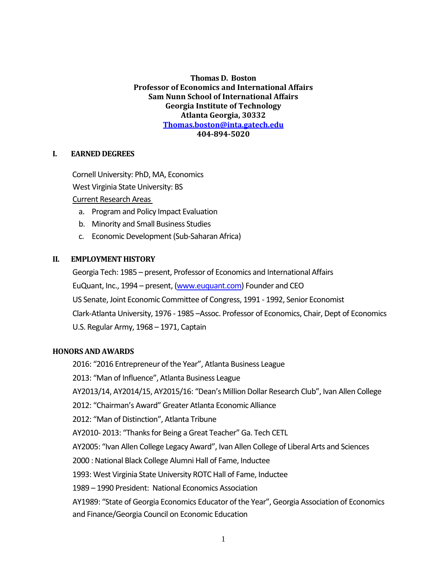**Thomas D. Boston Professor of Economics and International Affairs Sam Nunn School of International Affairs Georgia Institute of Technology Atlanta Georgia, 30332 [Thomas.boston@inta.gatech.edu](mailto:Thomas.boston@inta.gatech.edu) 404-894-5020**

#### **I. EARNED DEGREES**

Cornell University: PhD, MA, Economics West Virginia State University: BS Current Research Areas

- a. Program and Policy Impact Evaluation
- b. Minority and Small Business Studies
- c. Economic Development (Sub-Saharan Africa)

#### **II. EMPLOYMENT HISTORY**

Georgia Tech: 1985 – present, Professor of Economics and International Affairs EuQuant, Inc., 1994 – present, [\(www.euquant.com\)](http://www.euquant.com/) Founder and CEO US Senate, Joint Economic Committee of Congress, 1991 - 1992, Senior Economist Clark-Atlanta University, 1976 - 1985 –Assoc. Professor of Economics, Chair, Dept of Economics U.S. Regular Army, 1968 – 1971, Captain

#### **HONORS AND AWARDS**

2016: "2016 Entrepreneur of the Year", Atlanta Business League

2013: "Man of Influence", Atlanta Business League

AY2013/14, AY2014/15, AY2015/16: "Dean's Million Dollar Research Club", Ivan Allen College

2012: "Chairman's Award" Greater Atlanta Economic Alliance

2012: "Man of Distinction", Atlanta Tribune

AY2010- 2013: "Thanks for Being a Great Teacher" Ga. Tech CETL

AY2005: "Ivan Allen College Legacy Award", Ivan Allen College of Liberal Arts and Sciences

2000 : National Black College Alumni Hall of Fame, Inductee

1993: West Virginia State University ROTC Hall of Fame, Inductee

1989 – 1990 President: National Economics Association

AY1989: "State of Georgia Economics Educator of the Year", Georgia Association of Economics and Finance/Georgia Council on Economic Education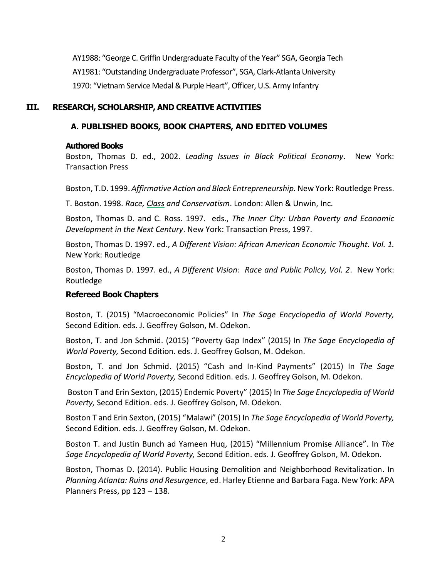AY1988: "George C. Griffin Undergraduate Faculty of the Year" SGA, Georgia Tech AY1981: "Outstanding Undergraduate Professor", SGA, Clark-Atlanta University 1970: "Vietnam Service Medal & Purple Heart", Officer, U.S. Army Infantry

## **III. RESEARCH, SCHOLARSHIP, AND CREATIVE ACTIVITIES**

## **A. PUBLISHED BOOKS, BOOK CHAPTERS, AND EDITED VOLUMES**

#### **Authored Books**

Boston, Thomas D. ed., 2002. *Leading Issues in Black Political Economy*. New York: Transaction Press

Boston, T.D. 1999. *Affirmative Action and Black Entrepreneurship.* New York: Routledge Press.

T. Boston. 1998. *Race, Class and Conservatism*. London: Allen & Unwin, Inc.

Boston, Thomas D. and C. Ross. 1997. eds., *The Inner City: Urban Poverty and Economic Development in the Next Century*. New York: Transaction Press, 1997.

Boston, Thomas D. 1997. ed., *A Different Vision: African American Economic Thought. Vol. 1.*  New York: Routledge

Boston, Thomas D. 1997. ed., *A Different Vision: Race and Public Policy, Vol. 2*. New York: Routledge

## **Refereed Book Chapters**

Boston, T. (2015) "Macroeconomic Policies" In *The Sage Encyclopedia of World Poverty,*  Second Edition. eds. J. Geoffrey Golson, M. Odekon.

Boston, T. and Jon Schmid. (2015) "Poverty Gap Index" (2015) In *The Sage Encyclopedia of World Poverty,* Second Edition. eds. J. Geoffrey Golson, M. Odekon.

Boston, T. and Jon Schmid. (2015) "Cash and In-Kind Payments" (2015) In *The Sage Encyclopedia of World Poverty,* Second Edition. eds. J. Geoffrey Golson, M. Odekon.

Boston T and Erin Sexton, (2015) Endemic Poverty" (2015) In *The Sage Encyclopedia of World Poverty,* Second Edition. eds. J. Geoffrey Golson, M. Odekon.

Boston T and Erin Sexton, (2015) "Malawi" (2015) In *The Sage Encyclopedia of World Poverty,*  Second Edition. eds. J. Geoffrey Golson, M. Odekon.

Boston T. and Justin Bunch ad Yameen Huq, (2015) "Millennium Promise Alliance". In *The Sage Encyclopedia of World Poverty,* Second Edition. eds. J. Geoffrey Golson, M. Odekon.

Boston, Thomas D. (2014). Public Housing Demolition and Neighborhood Revitalization. In *Planning Atlanta: Ruins and Resurgence*, ed. Harley Etienne and Barbara Faga. New York: APA Planners Press, pp 123 – 138.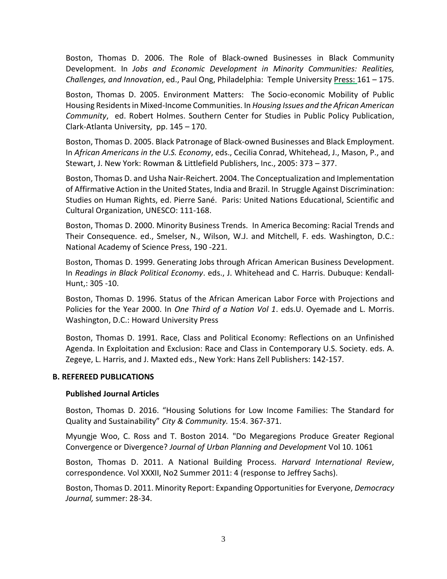Boston, Thomas D. 2006. The Role of Black-owned Businesses in Black Community Development. In *Jobs and Economic Development in Minority Communities: Realities, Challenges, and Innovation*, ed., Paul Ong, Philadelphia: Temple University Press: 161 – 175.

Boston, Thomas D. 2005. Environment Matters: The Socio-economic Mobility of Public Housing Residents in Mixed-Income Communities. In *Housing Issues and the African American Community*, ed. Robert Holmes. Southern Center for Studies in Public Policy Publication, Clark-Atlanta University, pp. 145 – 170.

Boston, Thomas D. 2005. Black Patronage of Black-owned Businesses and Black Employment. In *African Americans in the U.S. Economy*, eds., Cecilia Conrad, Whitehead, J., Mason, P., and Stewart, J. New York: Rowman & Littlefield Publishers, Inc., 2005: 373 – 377.

Boston, Thomas D. and Usha Nair-Reichert. 2004. The Conceptualization and Implementation of Affirmative Action in the United States, India and Brazil. In Struggle Against Discrimination: Studies on Human Rights, ed. Pierre Sané. Paris: United Nations Educational, Scientific and Cultural Organization, UNESCO: 111-168.

Boston, Thomas D. 2000. Minority Business Trends. In America Becoming: Racial Trends and Their Consequence. ed., Smelser, N., Wilson, W.J. and Mitchell, F. eds. Washington, D.C.: National Academy of Science Press, 190 -221.

Boston, Thomas D. 1999. Generating Jobs through African American Business Development. In *Readings in Black Political Economy*. eds., J. Whitehead and C. Harris. Dubuque: Kendall-Hunt,: 305 -10.

Boston, Thomas D. 1996. Status of the African American Labor Force with Projections and Policies for the Year 2000. In *One Third of a Nation Vol 1*. eds.U. Oyemade and L. Morris. Washington, D.C.: Howard University Press

Boston, Thomas D. 1991. Race, Class and Political Economy: Reflections on an Unfinished Agenda. In Exploitation and Exclusion: Race and Class in Contemporary U.S. Society. eds. A. Zegeye, L. Harris, and J. Maxted eds., New York: Hans Zell Publishers: 142-157.

## **B. REFEREED PUBLICATIONS**

#### **Published Journal Articles**

Boston, Thomas D. 2016. "Housing Solutions for Low Income Families: The Standard for Quality and Sustainability" *City & Community.* 15:4. 367-371.

Myungje Woo, C. Ross and T. Boston 2014. "Do Megaregions Produce Greater Regional Convergence or Divergence? *Journal of Urban Planning and Development* Vol 10. 1061

Boston, Thomas D. 2011. A National Building Process. *Harvard International Review*, correspondence. Vol XXXII, No2 Summer 2011: 4 (response to Jeffrey Sachs).

Boston, Thomas D. 2011. Minority Report: Expanding Opportunities for Everyone, *Democracy Journal,* summer: 28-34.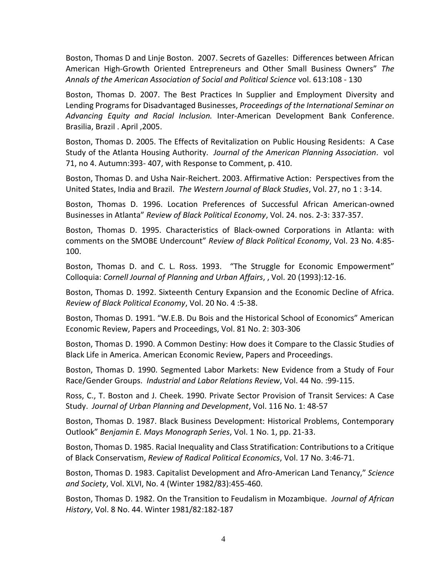Boston, Thomas D and Linje Boston. 2007. Secrets of Gazelles: Differences between African American High-Growth Oriented Entrepreneurs and Other Small Business Owners" *The Annals of the American Association of Social and Political Science* vol. 613:108 - 130

Boston, Thomas D. 2007. The Best Practices In Supplier and Employment Diversity and Lending Programs for Disadvantaged Businesses, *Proceedings of the International Seminar on Advancing Equity and Racial Inclusion.* Inter-American Development Bank Conference. Brasilia, Brazil . April ,2005.

Boston, Thomas D. 2005. The Effects of Revitalization on Public Housing Residents: A Case Study of the Atlanta Housing Authority. *Journal of the American Planning Association*. vol 71, no 4. Autumn:393- 407, with Response to Comment, p. 410.

Boston, Thomas D. and Usha Nair-Reichert. 2003. Affirmative Action: Perspectives from the United States, India and Brazil. *The Western Journal of Black Studies*, Vol. 27, no 1 : 3-14.

Boston, Thomas D. 1996. Location Preferences of Successful African American-owned Businesses in Atlanta" *Review of Black Political Economy*, Vol. 24. nos. 2-3: 337-357.

Boston, Thomas D. 1995. Characteristics of Black-owned Corporations in Atlanta: with comments on the SMOBE Undercount" *Review of Black Political Economy*, Vol. 23 No. 4:85- 100.

Boston, Thomas D. and C. L. Ross. 1993. "The Struggle for Economic Empowerment" Colloquia: *Cornell Journal of Planning and Urban Affairs*, , Vol. 20 (1993):12-16.

Boston, Thomas D. 1992. Sixteenth Century Expansion and the Economic Decline of Africa. *Review of Black Political Economy*, Vol. 20 No. 4 :5-38.

Boston, Thomas D. 1991. "W.E.B. Du Bois and the Historical School of Economics" American Economic Review, Papers and Proceedings, Vol. 81 No. 2: 303-306

Boston, Thomas D. 1990. A Common Destiny: How does it Compare to the Classic Studies of Black Life in America. American Economic Review, Papers and Proceedings.

Boston, Thomas D. 1990. Segmented Labor Markets: New Evidence from a Study of Four Race/Gender Groups. *Industrial and Labor Relations Review*, Vol. 44 No. :99-115.

Ross, C., T. Boston and J. Cheek. 1990. Private Sector Provision of Transit Services: A Case Study. *Journal of Urban Planning and Development*, Vol. 116 No. 1: 48-57

Boston, Thomas D. 1987. Black Business Development: Historical Problems, Contemporary Outlook" *Benjamin E. Mays Monograph Series*, Vol. 1 No. 1, pp. 21-33.

Boston, Thomas D. 1985. Racial Inequality and Class Stratification: Contributions to a Critique of Black Conservatism, *Review of Radical Political Economics*, Vol. 17 No. 3:46-71.

Boston, Thomas D. 1983. Capitalist Development and Afro-American Land Tenancy," *Science and Society*, Vol. XLVI, No. 4 (Winter 1982/83):455-460.

Boston, Thomas D. 1982. On the Transition to Feudalism in Mozambique. *Journal of African History*, Vol. 8 No. 44. Winter 1981/82:182-187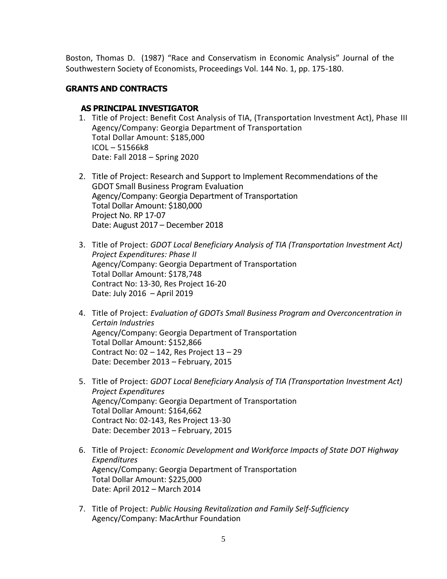Boston, Thomas D. (1987) "Race and Conservatism in Economic Analysis" Journal of the Southwestern Society of Economists, Proceedings Vol. 144 No. 1, pp. 175-180.

## **GRANTS AND CONTRACTS**

## **AS PRINCIPAL INVESTIGATOR**

- 1. Title of Project: Benefit Cost Analysis of TIA, (Transportation Investment Act), Phase III Agency/Company: Georgia Department of Transportation Total Dollar Amount: \$185,000 ICOL – 51566k8 Date: Fall 2018 – Spring 2020
- 2. Title of Project: Research and Support to Implement Recommendations of the GDOT Small Business Program Evaluation Agency/Company: Georgia Department of Transportation Total Dollar Amount: \$180,000 Project No. RP 17-07 Date: August 2017 – December 2018
- 3. Title of Project: *GDOT Local Beneficiary Analysis of TIA (Transportation Investment Act) Project Expenditures: Phase II* Agency/Company: Georgia Department of Transportation Total Dollar Amount: \$178,748 Contract No: 13-30, Res Project 16-20 Date: July 2016 – April 2019
- 4. Title of Project: *Evaluation of GDOTs Small Business Program and Overconcentration in Certain Industries* Agency/Company: Georgia Department of Transportation Total Dollar Amount: \$152,866 Contract No: 02 – 142, Res Project 13 – 29 Date: December 2013 – February, 2015
- 5. Title of Project: *GDOT Local Beneficiary Analysis of TIA (Transportation Investment Act) Project Expenditures* Agency/Company: Georgia Department of Transportation Total Dollar Amount: \$164,662 Contract No: 02-143, Res Project 13-30 Date: December 2013 – February, 2015
- 6. Title of Project: *Economic Development and Workforce Impacts of State DOT Highway Expenditures* Agency/Company: Georgia Department of Transportation Total Dollar Amount: \$225,000 Date: April 2012 – March 2014
- 7. Title of Project: *Public Housing Revitalization and Family Self-Sufficiency* Agency/Company: MacArthur Foundation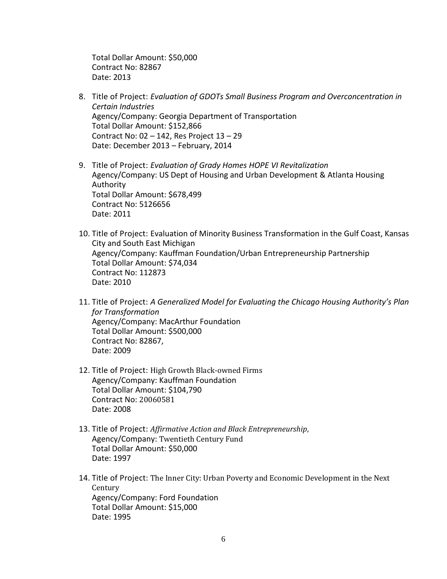Total Dollar Amount: \$50,000 Contract No: 82867 Date: 2013

- 8. Title of Project: *Evaluation of GDOTs Small Business Program and Overconcentration in Certain Industries* Agency/Company: Georgia Department of Transportation Total Dollar Amount: \$152,866 Contract No:  $02 - 142$ , Res Project  $13 - 29$ Date: December 2013 – February, 2014
- 9. Title of Project: *Evaluation of Grady Homes HOPE VI Revitalization* Agency/Company: US Dept of Housing and Urban Development & Atlanta Housing Authority Total Dollar Amount: \$678,499 Contract No: 5126656 Date: 2011
- 10. Title of Project: Evaluation of Minority Business Transformation in the Gulf Coast, Kansas City and South East Michigan Agency/Company: Kauffman Foundation/Urban Entrepreneurship Partnership Total Dollar Amount: \$74,034 Contract No: 112873 Date: 2010
- 11. Title of Project: *A Generalized Model for Evaluating the Chicago Housing Authority's Plan for Transformation* Agency/Company: MacArthur Foundation Total Dollar Amount: \$500,000 Contract No: 82867, Date: 2009
- 12. Title of Project: High Growth Black-owned Firms Agency/Company: Kauffman Foundation Total Dollar Amount: \$104,790 Contract No: 20060581 Date: 2008
- 13. Title of Project: *Affirmative Action and Black Entrepreneurship*, Agency/Company: Twentieth Century Fund Total Dollar Amount: \$50,000 Date: 1997
- 14. Title of Project: The Inner City: Urban Poverty and Economic Development in the Next Century Agency/Company: Ford Foundation Total Dollar Amount: \$15,000 Date: 1995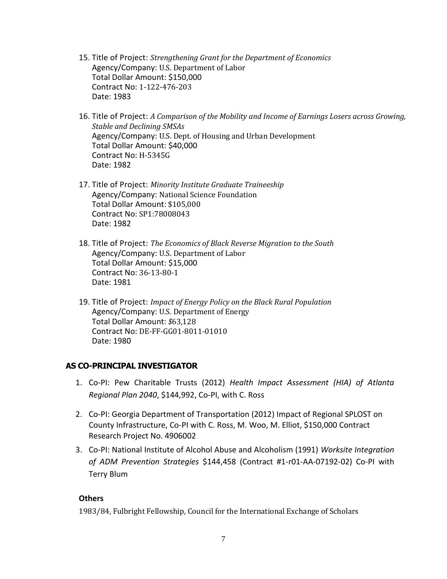- 15. Title of Project: *Strengthening Grant for the Department of Economics* Agency/Company: U.S. Department of Labor Total Dollar Amount: \$150,000 Contract No: 1-122-476-203 Date: 1983
- 16. Title of Project: *A Comparison of the Mobility and Income of Earnings Losers across Growing, Stable and Declining SMSAs* Agency/Company: U.S. Dept. of Housing and Urban Development Total Dollar Amount: \$40,000 Contract No: H-5345G Date: 1982
- 17. Title of Project: *Minority Institute Graduate Traineeship* Agency/Company: National Science Foundation Total Dollar Amount: \$105,000 Contract No: SP1:78008043 Date: 1982
- 18. Title of Project: *The Economics of Black Reverse Migration to the South* Agency/Company: U.S. Department of Labor Total Dollar Amount: \$15,000 Contract No: 36-13-80-1 Date: 1981
- 19. Title of Project: *Impact of Energy Policy on the Black Rural Population* Agency/Company: U.S. Department of Energy Total Dollar Amount: *\$*63,128 Contract No: DE-FF-GG01-8011-01010 Date: 1980

# **AS CO-PRINCIPAL INVESTIGATOR**

- 1. Co-PI: Pew Charitable Trusts (2012) *Health Impact Assessment (HIA) of Atlanta Regional Plan 2040*, \$144,992, Co-PI, with C. Ross
- 2. Co-PI: Georgia Department of Transportation (2012) Impact of Regional SPLOST on County Infrastructure, Co-PI with C. Ross, M. Woo, M. Elliot, \$150,000 Contract Research Project No. 4906002
- 3. Co-PI: National Institute of Alcohol Abuse and Alcoholism (1991) *Worksite Integration of ADM Prevention Strategies* \$144,458 (Contract #1-r01-AA-07192-02) Co-PI with Terry Blum

## **Others**

1983/84, Fulbright Fellowship, Council for the International Exchange of Scholars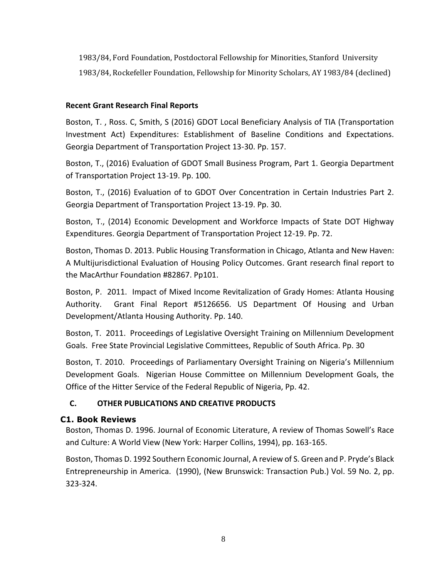1983/84, Ford Foundation, Postdoctoral Fellowship for Minorities, Stanford University 1983/84, Rockefeller Foundation, Fellowship for Minority Scholars, AY 1983/84 (declined)

# **Recent Grant Research Final Reports**

Boston, T. , Ross. C, Smith, S (2016) GDOT Local Beneficiary Analysis of TIA (Transportation Investment Act) Expenditures: Establishment of Baseline Conditions and Expectations. Georgia Department of Transportation Project 13-30. Pp. 157.

Boston, T., (2016) Evaluation of GDOT Small Business Program, Part 1. Georgia Department of Transportation Project 13-19. Pp. 100.

Boston, T., (2016) Evaluation of to GDOT Over Concentration in Certain Industries Part 2. Georgia Department of Transportation Project 13-19. Pp. 30.

Boston, T., (2014) Economic Development and Workforce Impacts of State DOT Highway Expenditures. Georgia Department of Transportation Project 12-19. Pp. 72.

Boston, Thomas D. 2013. Public Housing Transformation in Chicago, Atlanta and New Haven: A Multijurisdictional Evaluation of Housing Policy Outcomes. Grant research final report to the MacArthur Foundation #82867. Pp101.

Boston, P. 2011. Impact of Mixed Income Revitalization of Grady Homes: Atlanta Housing Authority. Grant Final Report #5126656. US Department Of Housing and Urban Development/Atlanta Housing Authority. Pp. 140.

Boston, T. 2011. Proceedings of Legislative Oversight Training on Millennium Development Goals. Free State Provincial Legislative Committees, Republic of South Africa. Pp. 30

Boston, T. 2010. Proceedings of Parliamentary Oversight Training on Nigeria's Millennium Development Goals. Nigerian House Committee on Millennium Development Goals, the Office of the Hitter Service of the Federal Republic of Nigeria, Pp. 42.

# **C. OTHER PUBLICATIONS AND CREATIVE PRODUCTS**

# **C1. Book Reviews**

Boston, Thomas D. 1996. Journal of Economic Literature, A review of Thomas Sowell's Race and Culture: A World View (New York: Harper Collins, 1994), pp. 163-165.

Boston, Thomas D. 1992 Southern Economic Journal, A review of S. Green and P. Pryde's Black Entrepreneurship in America. (1990), (New Brunswick: Transaction Pub.) Vol. 59 No. 2, pp. 323-324.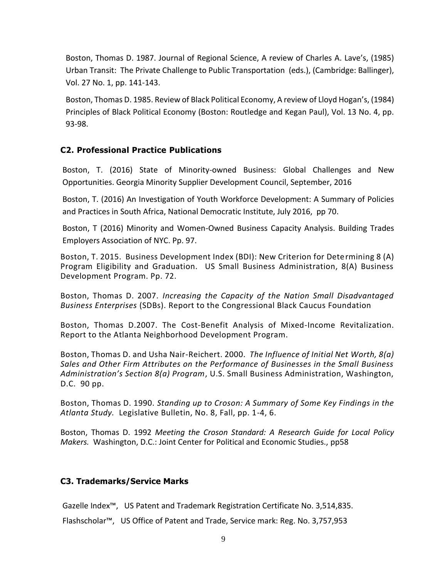Boston, Thomas D. 1987. Journal of Regional Science, A review of Charles A. Lave's, (1985) Urban Transit: The Private Challenge to Public Transportation (eds.), (Cambridge: Ballinger), Vol. 27 No. 1, pp. 141-143.

Boston, Thomas D. 1985. Review of Black Political Economy, A review of Lloyd Hogan's, (1984) Principles of Black Political Economy (Boston: Routledge and Kegan Paul), Vol. 13 No. 4, pp. 93-98.

# **C2. Professional Practice Publications**

Boston, T. (2016) State of Minority-owned Business: Global Challenges and New Opportunities. Georgia Minority Supplier Development Council, September, 2016

Boston, T. (2016) An Investigation of Youth Workforce Development: A Summary of Policies and Practices in South Africa, National Democratic Institute, July 2016, pp 70.

Boston, T (2016) Minority and Women-Owned Business Capacity Analysis. Building Trades Employers Association of NYC. Pp. 97.

Boston, T. 2015. Business Development Index (BDI): New Criterion for Determining 8 (A) Program Eligibility and Graduation. US Small Business Administration, 8(A) Business Development Program. Pp. 72.

Boston, Thomas D. 2007. *Increasing the Capacity of the Nation Small Disadvantaged Business Enterprises* (SDBs). Report to the Congressional Black Caucus Foundation

Boston, Thomas D.2007. The Cost-Benefit Analysis of Mixed-Income Revitalization. Report to the Atlanta Neighborhood Development Program.

Boston, Thomas D. and Usha Nair-Reichert. 2000. *The Influence of Initial Net Worth, 8(a) Sales and Other Firm Attributes on the Performance of Businesses in the Small Business Administration's Section 8(a) Program*, U.S. Small Business Administration, Washington, D.C. 90 pp.

Boston, Thomas D. 1990. *Standing up to Croson: A Summary of Some Key Findings in the Atlanta Study.* Legislative Bulletin, No. 8, Fall, pp. 1-4, 6.

Boston, Thomas D. 1992 *Meeting the Croson Standard: A Research Guide for Local Policy Makers.* Washington, D.C.: Joint Center for Political and Economic Studies., pp58

# **C3. Trademarks/Service Marks**

Gazelle Index™, US Patent and Trademark Registration Certificate No. 3,514,835.

Flashscholar™, US Office of Patent and Trade, Service mark: Reg. No. 3,757,953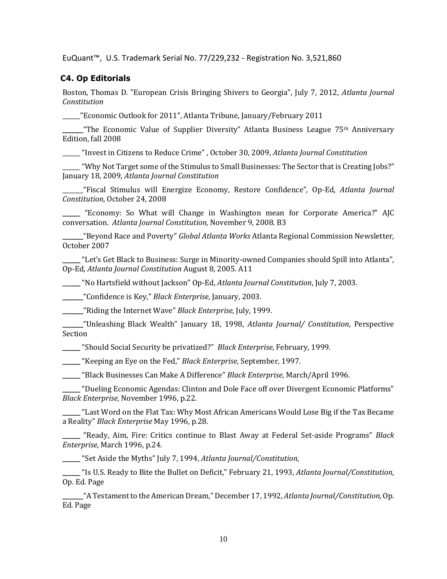EuQuant™, U.S. Trademark Serial No. 77/229,232 - Registration No. 3,521,860

# **C4. Op Editorials**

Boston, Thomas D. "European Crisis Bringing Shivers to Georgia", July 7, 2012, *Atlanta Journal Constitution*

\_\_\_\_\_\_"Economic Outlook for 2011", Atlanta Tribune, January/February 2011

**\_\_\_\_\_\_\_**"The Economic Value of Supplier Diversity" Atlanta Business League 75th Anniversary Edition, fall 2008

\_\_\_\_\_\_ "Invest in Citizens to Reduce Crime" , October 30, 2009, *Atlanta Journal Constitution*

\_\_\_\_\_\_"Why Not Target some of the Stimulus to Small Businesses: The Sector that is Creating Jobs?" January 18, 2009, *Atlanta Journal Constitution*

\_\_\_\_\_\_\_"Fiscal Stimulus will Energize Economy, Restore Confidence", Op-Ed, *Atlanta Journal Constitution*, October 24, 2008

**\_\_\_\_\_\_** "Economy: So What will Change in Washington mean for Corporate America?" AJC conversation. *Atlanta Journal Constitution,* November 9, 2008. B3

**\_\_\_\_\_\_\_**"Beyond Race and Poverty" *Global Atlanta Works* Atlanta Regional Commission Newsletter, October 2007

**\_\_\_\_\_\_** "Let's Get Black to Business: Surge in Minority-owned Companies should Spill into Atlanta", Op-Ed, *Atlanta Journal Constitution* August 8, 2005. A11

**\_\_\_\_\_\_** "No Hartsfield without Jackson" Op-Ed, *Atlanta Journal Constitution*, July 7, 2003.

**\_\_\_\_\_\_\_**"Confidence is Key," *Black Enterprise*, January, 2003.

**\_\_\_\_\_\_\_**"Riding the Internet Wave" *Black Enterprise*, July, 1999.

**\_\_\_\_\_\_\_**"Unleashing Black Wealth" January 18, 1998, *Atlanta Journal/ Constitution*, Perspective Section

**\_\_\_\_\_\_** "Should Social Security be privatized?" *Black Enterprise*, February, 1999.

**\_\_\_\_\_\_** "Keeping an Eye on the Fed," *Black Enterprise*, September, 1997.

**\_\_\_\_\_\_** "Black Businesses Can Make A Difference" *Black Enterprise*, March/April 1996.

**\_\_\_\_\_\_** "Dueling Economic Agendas: Clinton and Dole Face off over Divergent Economic Platforms" *Black Enterprise*, November 1996, p.22.

**\_\_\_\_\_\_** "Last Word on the Flat Tax: Why Most African Americans Would Lose Big if the Tax Became a Reality" *Black Enterprise* May 1996, p.28.

**\_\_\_\_\_\_** "Ready, Aim, Fire: Critics continue to Blast Away at Federal Set-aside Programs" *Black Enterprise*, March 1996, p.24.

**\_\_\_\_\_\_** "Set Aside the Myths" July 7, 1994, *Atlanta Journal/Constitution,*

**\_\_\_\_\_\_** "Is U.S. Ready to Bite the Bullet on Deficit," February 21, 1993, *Atlanta Journal/Constitution,* Op. Ed. Page

**\_\_\_\_\_\_\_**"A Testament to the American Dream," December 17, 1992, *Atlanta Journal/Constitution,* Op. Ed. Page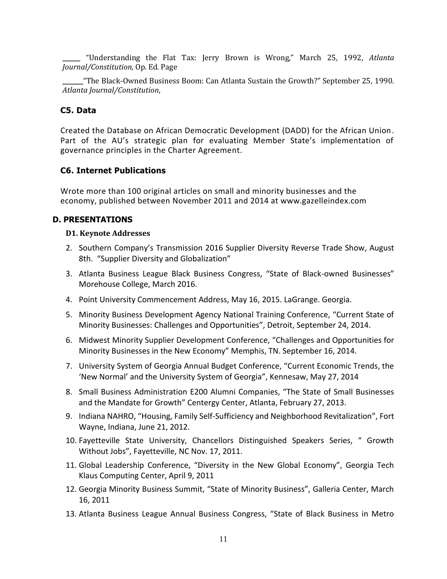**\_\_\_\_\_\_** "Understanding the Flat Tax: Jerry Brown is Wrong," March 25, 1992, *Atlanta Journal/Constitution,* Op. Ed. Page

**\_\_\_\_\_\_\_**"The Black-Owned Business Boom: Can Atlanta Sustain the Growth?" September 25, 1990. *Atlanta Journal/Constitution*,

## **C5. Data**

Created the Database on African Democratic Development (DADD) for the African Union. Part of the AU's strategic plan for evaluating Member State's implementation of governance principles in the Charter Agreement.

## **C6. Internet Publications**

Wrote more than 100 original articles on small and minority businesses and the economy, published between November 2011 and 2014 at www.gazelleindex.com

## **D. PRESENTATIONS**

#### **D1. Keynote Addresses**

- 2. Southern Company's Transmission 2016 Supplier Diversity Reverse Trade Show, August 8th. "Supplier Diversity and Globalization"
- 3. Atlanta Business League Black Business Congress, "State of Black-owned Businesses" Morehouse College, March 2016.
- 4. Point University Commencement Address, May 16, 2015. LaGrange. Georgia.
- 5. Minority Business Development Agency National Training Conference, "Current State of Minority Businesses: Challenges and Opportunities", Detroit, September 24, 2014.
- 6. Midwest Minority Supplier Development Conference, "Challenges and Opportunities for Minority Businesses in the New Economy" Memphis, TN. September 16, 2014.
- 7. University System of Georgia Annual Budget Conference, "Current Economic Trends, the 'New Normal' and the University System of Georgia", Kennesaw, May 27, 2014
- 8. Small Business Administration E200 Alumni Companies, "The State of Small Businesses and the Mandate for Growth" Centergy Center, Atlanta, February 27, 2013.
- 9. Indiana NAHRO, "Housing, Family Self-Sufficiency and Neighborhood Revitalization", Fort Wayne, Indiana, June 21, 2012.
- 10. Fayetteville State University, Chancellors Distinguished Speakers Series, " Growth Without Jobs", Fayetteville, NC Nov. 17, 2011.
- 11. Global Leadership Conference, "Diversity in the New Global Economy", Georgia Tech Klaus Computing Center, April 9, 2011
- 12. Georgia Minority Business Summit, "State of Minority Business", Galleria Center, March 16, 2011
- 13. Atlanta Business League Annual Business Congress, "State of Black Business in Metro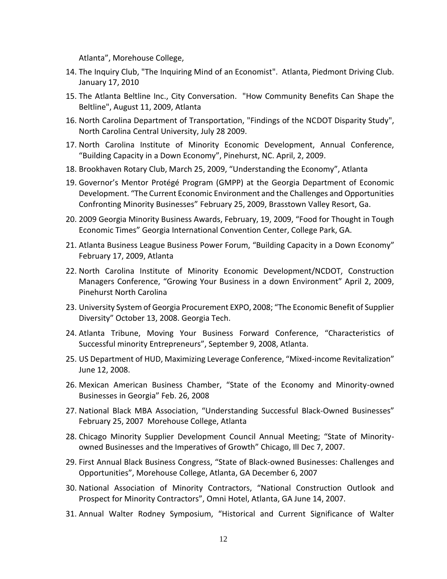Atlanta", Morehouse College,

- 14. The Inquiry Club, "The Inquiring Mind of an Economist". Atlanta, Piedmont Driving Club. January 17, 2010
- 15. The Atlanta Beltline Inc., City Conversation. "How Community Benefits Can Shape the Beltline", August 11, 2009, Atlanta
- 16. North Carolina Department of Transportation, "Findings of the NCDOT Disparity Study", North Carolina Central University, July 28 2009.
- 17. North Carolina Institute of Minority Economic Development, Annual Conference, "Building Capacity in a Down Economy", Pinehurst, NC. April, 2, 2009.
- 18. Brookhaven Rotary Club, March 25, 2009, "Understanding the Economy", Atlanta
- 19. Governor's Mentor Protégé Program (GMPP) at the Georgia Department of Economic Development. "The Current Economic Environment and the Challenges and Opportunities Confronting Minority Businesses" February 25, 2009, Brasstown Valley Resort, Ga.
- 20. 2009 Georgia Minority Business Awards, February, 19, 2009, "Food for Thought in Tough Economic Times" Georgia International Convention Center, College Park, GA.
- 21. Atlanta Business League Business Power Forum, "Building Capacity in a Down Economy" February 17, 2009, Atlanta
- 22. North Carolina Institute of Minority Economic Development/NCDOT, Construction Managers Conference, "Growing Your Business in a down Environment" April 2, 2009, Pinehurst North Carolina
- 23. University System of Georgia Procurement EXPO, 2008; "The Economic Benefit of Supplier Diversity" October 13, 2008. Georgia Tech.
- 24. Atlanta Tribune, Moving Your Business Forward Conference, "Characteristics of Successful minority Entrepreneurs", September 9, 2008, Atlanta.
- 25. US Department of HUD, Maximizing Leverage Conference, "Mixed-income Revitalization" June 12, 2008.
- 26. Mexican American Business Chamber, "State of the Economy and Minority-owned Businesses in Georgia" Feb. 26, 2008
- 27. National Black MBA Association, "Understanding Successful Black-Owned Businesses" February 25, 2007 Morehouse College, Atlanta
- 28. Chicago Minority Supplier Development Council Annual Meeting; "State of Minorityowned Businesses and the Imperatives of Growth" Chicago, Ill Dec 7, 2007.
- 29. First Annual Black Business Congress, "State of Black-owned Businesses: Challenges and Opportunities", Morehouse College, Atlanta, GA December 6, 2007
- 30. National Association of Minority Contractors, "National Construction Outlook and Prospect for Minority Contractors", Omni Hotel, Atlanta, GA June 14, 2007.
- 31. Annual Walter Rodney Symposium, "Historical and Current Significance of Walter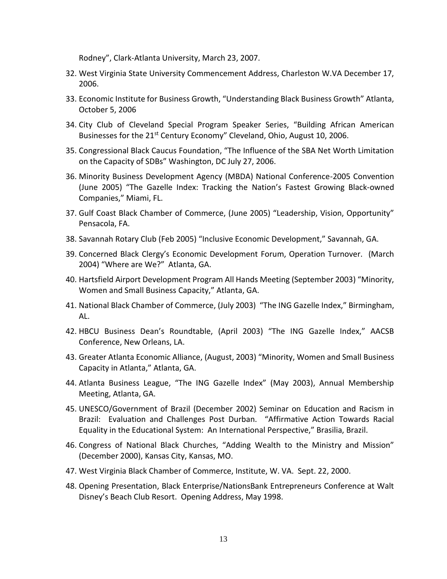Rodney", Clark-Atlanta University, March 23, 2007.

- 32. West Virginia State University Commencement Address, Charleston W.VA December 17, 2006.
- 33. Economic Institute for Business Growth, "Understanding Black Business Growth" Atlanta, October 5, 2006
- 34. City Club of Cleveland Special Program Speaker Series, "Building African American Businesses for the  $21^{st}$  Century Economy" Cleveland, Ohio, August 10, 2006.
- 35. Congressional Black Caucus Foundation, "The Influence of the SBA Net Worth Limitation on the Capacity of SDBs" Washington, DC July 27, 2006.
- 36. Minority Business Development Agency (MBDA) National Conference-2005 Convention (June 2005) "The Gazelle Index: Tracking the Nation's Fastest Growing Black-owned Companies," Miami, FL.
- 37. Gulf Coast Black Chamber of Commerce, (June 2005) "Leadership, Vision, Opportunity" Pensacola, FA.
- 38. Savannah Rotary Club (Feb 2005) "Inclusive Economic Development," Savannah, GA.
- 39. Concerned Black Clergy's Economic Development Forum, Operation Turnover. (March 2004) "Where are We?" Atlanta, GA.
- 40. Hartsfield Airport Development Program All Hands Meeting (September 2003) "Minority, Women and Small Business Capacity," Atlanta, GA.
- 41. National Black Chamber of Commerce, (July 2003) "The ING Gazelle Index," Birmingham, AL.
- 42. HBCU Business Dean's Roundtable, (April 2003) "The ING Gazelle Index," AACSB Conference, New Orleans, LA.
- 43. Greater Atlanta Economic Alliance, (August, 2003) "Minority, Women and Small Business Capacity in Atlanta," Atlanta, GA.
- 44. Atlanta Business League, "The ING Gazelle Index" (May 2003), Annual Membership Meeting, Atlanta, GA.
- 45. UNESCO/Government of Brazil (December 2002) Seminar on Education and Racism in Brazil: Evaluation and Challenges Post Durban. "Affirmative Action Towards Racial Equality in the Educational System: An International Perspective," Brasilia, Brazil.
- 46. Congress of National Black Churches, "Adding Wealth to the Ministry and Mission" (December 2000), Kansas City, Kansas, MO.
- 47. West Virginia Black Chamber of Commerce, Institute, W. VA. Sept. 22, 2000.
- 48. Opening Presentation, Black Enterprise/NationsBank Entrepreneurs Conference at Walt Disney's Beach Club Resort. Opening Address, May 1998.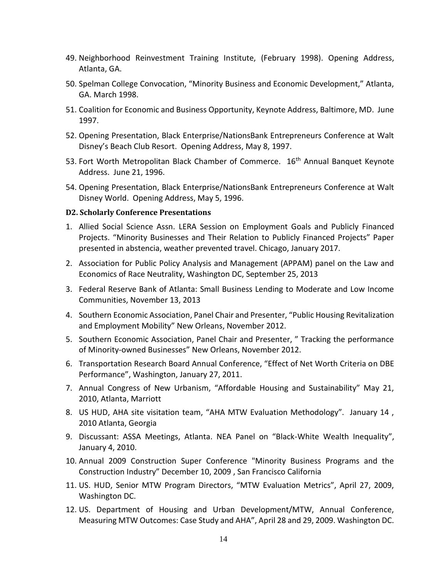- 49. Neighborhood Reinvestment Training Institute, (February 1998). Opening Address, Atlanta, GA.
- 50. Spelman College Convocation, "Minority Business and Economic Development," Atlanta, GA. March 1998.
- 51. Coalition for Economic and Business Opportunity, Keynote Address, Baltimore, MD. June 1997.
- 52. Opening Presentation, Black Enterprise/NationsBank Entrepreneurs Conference at Walt Disney's Beach Club Resort. Opening Address, May 8, 1997.
- 53. Fort Worth Metropolitan Black Chamber of Commerce. 16<sup>th</sup> Annual Banquet Keynote Address. June 21, 1996.
- 54. Opening Presentation, Black Enterprise/NationsBank Entrepreneurs Conference at Walt Disney World. Opening Address, May 5, 1996.

#### **D2. Scholarly Conference Presentations**

- 1. Allied Social Science Assn. LERA Session on Employment Goals and Publicly Financed Projects. "Minority Businesses and Their Relation to Publicly Financed Projects" Paper presented in abstencia, weather prevented travel. Chicago, January 2017.
- 2. Association for Public Policy Analysis and Management (APPAM) panel on the Law and Economics of Race Neutrality, Washington DC, September 25, 2013
- 3. Federal Reserve Bank of Atlanta: Small Business Lending to Moderate and Low Income Communities, November 13, 2013
- 4. Southern Economic Association, Panel Chair and Presenter, "Public Housing Revitalization and Employment Mobility" New Orleans, November 2012.
- 5. Southern Economic Association, Panel Chair and Presenter, " Tracking the performance of Minority-owned Businesses" New Orleans, November 2012.
- 6. Transportation Research Board Annual Conference, "Effect of Net Worth Criteria on DBE Performance", Washington, January 27, 2011.
- 7. Annual Congress of New Urbanism, "Affordable Housing and Sustainability" May 21, 2010, Atlanta, Marriott
- 8. US HUD, AHA site visitation team, "AHA MTW Evaluation Methodology". January 14 , 2010 Atlanta, Georgia
- 9. Discussant: ASSA Meetings, Atlanta. NEA Panel on "Black-White Wealth Inequality", January 4, 2010.
- 10. Annual 2009 Construction Super Conference "Minority Business Programs and the Construction Industry" December 10, 2009 , San Francisco California
- 11. US. HUD, Senior MTW Program Directors, "MTW Evaluation Metrics", April 27, 2009, Washington DC.
- 12. US. Department of Housing and Urban Development/MTW, Annual Conference, Measuring MTW Outcomes: Case Study and AHA", April 28 and 29, 2009. Washington DC.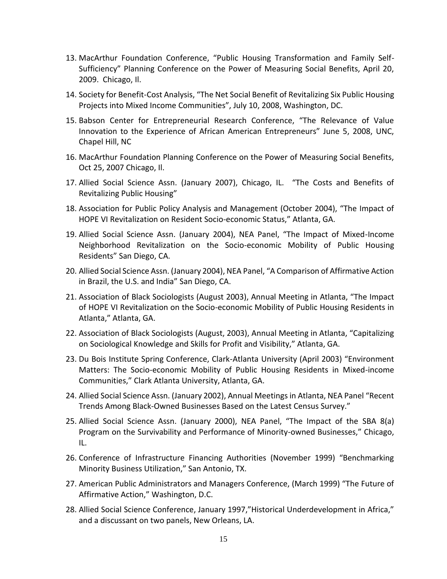- 13. MacArthur Foundation Conference, "Public Housing Transformation and Family Self-Sufficiency" Planning Conference on the Power of Measuring Social Benefits, April 20, 2009. Chicago, Il.
- 14. Society for Benefit-Cost Analysis, "The Net Social Benefit of Revitalizing Six Public Housing Projects into Mixed Income Communities", July 10, 2008, Washington, DC.
- 15. Babson Center for Entrepreneurial Research Conference, "The Relevance of Value Innovation to the Experience of African American Entrepreneurs" June 5, 2008, UNC, Chapel Hill, NC
- 16. MacArthur Foundation Planning Conference on the Power of Measuring Social Benefits, Oct 25, 2007 Chicago, Il.
- 17. Allied Social Science Assn. (January 2007), Chicago, IL. "The Costs and Benefits of Revitalizing Public Housing"
- 18. Association for Public Policy Analysis and Management (October 2004), "The Impact of HOPE VI Revitalization on Resident Socio-economic Status," Atlanta, GA.
- 19. Allied Social Science Assn. (January 2004), NEA Panel, "The Impact of Mixed-Income Neighborhood Revitalization on the Socio-economic Mobility of Public Housing Residents" San Diego, CA.
- 20. Allied Social Science Assn. (January 2004), NEA Panel, "A Comparison of Affirmative Action in Brazil, the U.S. and India" San Diego, CA.
- 21. Association of Black Sociologists (August 2003), Annual Meeting in Atlanta, "The Impact of HOPE VI Revitalization on the Socio-economic Mobility of Public Housing Residents in Atlanta," Atlanta, GA.
- 22. Association of Black Sociologists (August, 2003), Annual Meeting in Atlanta, "Capitalizing on Sociological Knowledge and Skills for Profit and Visibility," Atlanta, GA.
- 23. Du Bois Institute Spring Conference, Clark-Atlanta University (April 2003) "Environment Matters: The Socio-economic Mobility of Public Housing Residents in Mixed-income Communities," Clark Atlanta University, Atlanta, GA.
- 24. Allied Social Science Assn. (January 2002), Annual Meetings in Atlanta, NEA Panel "Recent Trends Among Black-Owned Businesses Based on the Latest Census Survey."
- 25. Allied Social Science Assn. (January 2000), NEA Panel, "The Impact of the SBA 8(a) Program on the Survivability and Performance of Minority-owned Businesses," Chicago, IL.
- 26. Conference of Infrastructure Financing Authorities (November 1999) "Benchmarking Minority Business Utilization," San Antonio, TX.
- 27. American Public Administrators and Managers Conference, (March 1999) "The Future of Affirmative Action," Washington, D.C.
- 28. Allied Social Science Conference, January 1997,"Historical Underdevelopment in Africa," and a discussant on two panels, New Orleans, LA.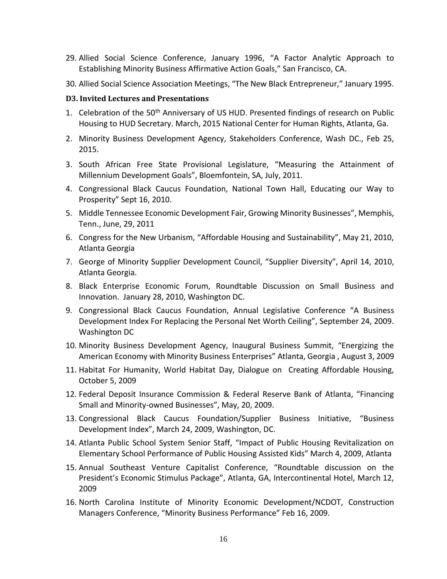- 29. Allied Social Science Conference, January 1996, "A Factor Analytic Approach to Establishing Minority Business Affirmative Action Goals," San Francisco, CA.
- 30. Allied Social Science Association Meetings, "The New Black Entrepreneur," January 1995.

#### **D3. Invited Lectures and Presentations**

- 1. Celebration of the 50<sup>th</sup> Anniversary of US HUD. Presented findings of research on Public Housing to HUD Secretary. March, 2015 National Center for Human Rights, Atlanta, Ga.
- 2. Minority Business Development Agency, Stakeholders Conference, Wash DC., Feb 25, 2015.
- 3. South African Free State Provisional Legislature, "Measuring the Attainment of Millennium Development Goals", Bloemfontein, SA, July, 2011.
- 4. Congressional Black Caucus Foundation, National Town Hall, Educating our Way to Prosperity" Sept 16, 2010.
- 5. Middle Tennessee Economic Development Fair, Growing Minority Businesses", Memphis, Tenn., June, 29, 2011
- 6. Congress for the New Urbanism, "Affordable Housing and Sustainability", May 21, 2010, Atlanta Georgia
- 7. George of Minority Supplier Development Council, "Supplier Diversity", April 14, 2010, Atlanta Georgia.
- 8. Black Enterprise Economic Forum, Roundtable Discussion on Small Business and Innovation. January 28, 2010, Washington DC.
- 9. Congressional Black Caucus Foundation, Annual Legislative Conference "A Business Development Index For Replacing the Personal Net Worth Ceiling", September 24, 2009. Washington DC
- 10. Minority Business Development Agency, Inaugural Business Summit, "Energizing the American Economy with Minority Business Enterprises" Atlanta, Georgia , August 3, 2009
- 11. Habitat For Humanity, World Habitat Day, Dialogue on Creating Affordable Housing, October 5, 2009
- 12. Federal Deposit Insurance Commission & Federal Reserve Bank of Atlanta, "Financing Small and Minority-owned Businesses", May, 20, 2009.
- 13. Congressional Black Caucus Foundation/Supplier Business Initiative, "Business Development Index", March 24, 2009, Washington, DC.
- 14. Atlanta Public School System Senior Staff, "Impact of Public Housing Revitalization on Elementary School Performance of Public Housing Assisted Kids" March 4, 2009, Atlanta
- 15. Annual Southeast Venture Capitalist Conference, "Roundtable discussion on the President's Economic Stimulus Package", Atlanta, GA, Intercontinental Hotel, March 12, 2009
- 16. North Carolina Institute of Minority Economic Development/NCDOT, Construction Managers Conference, "Minority Business Performance" Feb 16, 2009.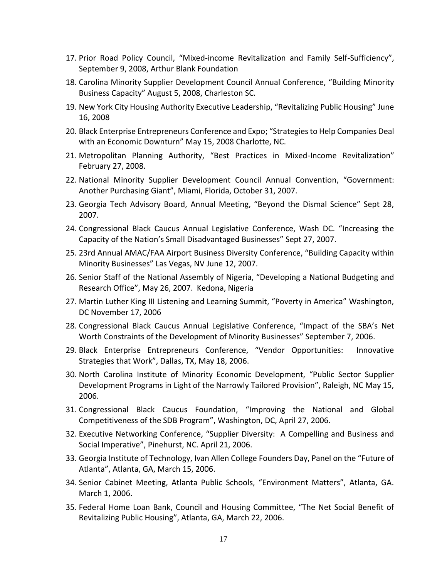- 17. Prior Road Policy Council, "Mixed-income Revitalization and Family Self-Sufficiency", September 9, 2008, Arthur Blank Foundation
- 18. Carolina Minority Supplier Development Council Annual Conference, "Building Minority Business Capacity" August 5, 2008, Charleston SC.
- 19. New York City Housing Authority Executive Leadership, "Revitalizing Public Housing" June 16, 2008
- 20. Black Enterprise Entrepreneurs Conference and Expo; "Strategies to Help Companies Deal with an Economic Downturn" May 15, 2008 Charlotte, NC.
- 21. Metropolitan Planning Authority, "Best Practices in Mixed-Income Revitalization" February 27, 2008.
- 22. National Minority Supplier Development Council Annual Convention, "Government: Another Purchasing Giant", Miami, Florida, October 31, 2007.
- 23. Georgia Tech Advisory Board, Annual Meeting, "Beyond the Dismal Science" Sept 28, 2007.
- 24. Congressional Black Caucus Annual Legislative Conference, Wash DC. "Increasing the Capacity of the Nation's Small Disadvantaged Businesses" Sept 27, 2007.
- 25. 23rd Annual AMAC/FAA Airport Business Diversity Conference, "Building Capacity within Minority Businesses" Las Vegas, NV June 12, 2007.
- 26. Senior Staff of the National Assembly of Nigeria, "Developing a National Budgeting and Research Office", May 26, 2007. Kedona, Nigeria
- 27. Martin Luther King III Listening and Learning Summit, "Poverty in America" Washington, DC November 17, 2006
- 28. Congressional Black Caucus Annual Legislative Conference, "Impact of the SBA's Net Worth Constraints of the Development of Minority Businesses" September 7, 2006.
- 29. Black Enterprise Entrepreneurs Conference, "Vendor Opportunities: Innovative Strategies that Work", Dallas, TX, May 18, 2006.
- 30. North Carolina Institute of Minority Economic Development, "Public Sector Supplier Development Programs in Light of the Narrowly Tailored Provision", Raleigh, NC May 15, 2006.
- 31. Congressional Black Caucus Foundation, "Improving the National and Global Competitiveness of the SDB Program", Washington, DC, April 27, 2006.
- 32. Executive Networking Conference, "Supplier Diversity: A Compelling and Business and Social Imperative", Pinehurst, NC. April 21, 2006.
- 33. Georgia Institute of Technology, Ivan Allen College Founders Day, Panel on the "Future of Atlanta", Atlanta, GA, March 15, 2006.
- 34. Senior Cabinet Meeting, Atlanta Public Schools, "Environment Matters", Atlanta, GA. March 1, 2006.
- 35. Federal Home Loan Bank, Council and Housing Committee, "The Net Social Benefit of Revitalizing Public Housing", Atlanta, GA, March 22, 2006.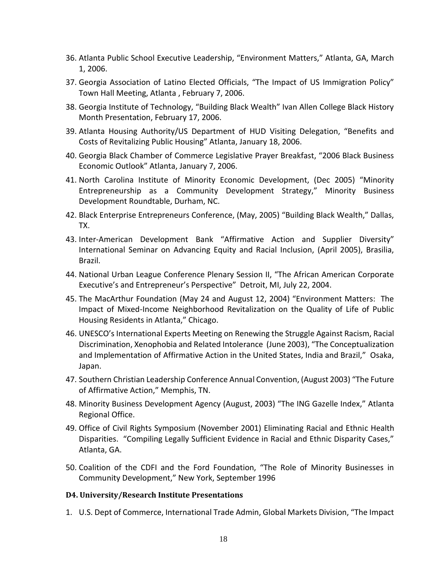- 36. Atlanta Public School Executive Leadership, "Environment Matters," Atlanta, GA, March 1, 2006.
- 37. Georgia Association of Latino Elected Officials, "The Impact of US Immigration Policy" Town Hall Meeting, Atlanta , February 7, 2006.
- 38. Georgia Institute of Technology, "Building Black Wealth" Ivan Allen College Black History Month Presentation, February 17, 2006.
- 39. Atlanta Housing Authority/US Department of HUD Visiting Delegation, "Benefits and Costs of Revitalizing Public Housing" Atlanta, January 18, 2006.
- 40. Georgia Black Chamber of Commerce Legislative Prayer Breakfast, "2006 Black Business Economic Outlook" Atlanta, January 7, 2006.
- 41. North Carolina Institute of Minority Economic Development, (Dec 2005) "Minority Entrepreneurship as a Community Development Strategy," Minority Business Development Roundtable, Durham, NC.
- 42. Black Enterprise Entrepreneurs Conference, (May, 2005) "Building Black Wealth," Dallas, TX.
- 43. Inter-American Development Bank "Affirmative Action and Supplier Diversity" International Seminar on Advancing Equity and Racial Inclusion, (April 2005), Brasilia, Brazil.
- 44. National Urban League Conference Plenary Session II, "The African American Corporate Executive's and Entrepreneur's Perspective" Detroit, MI, July 22, 2004.
- 45. The MacArthur Foundation (May 24 and August 12, 2004) "Environment Matters: The Impact of Mixed-Income Neighborhood Revitalization on the Quality of Life of Public Housing Residents in Atlanta," Chicago.
- 46. UNESCO's International Experts Meeting on Renewing the Struggle Against Racism, Racial Discrimination, Xenophobia and Related Intolerance (June 2003), "The Conceptualization and Implementation of Affirmative Action in the United States, India and Brazil," Osaka, Japan.
- 47. Southern Christian Leadership Conference Annual Convention, (August 2003) "The Future of Affirmative Action," Memphis, TN.
- 48. Minority Business Development Agency (August, 2003) "The ING Gazelle Index," Atlanta Regional Office.
- 49. Office of Civil Rights Symposium (November 2001) Eliminating Racial and Ethnic Health Disparities. "Compiling Legally Sufficient Evidence in Racial and Ethnic Disparity Cases," Atlanta, GA.
- 50. Coalition of the CDFI and the Ford Foundation, "The Role of Minority Businesses in Community Development," New York, September 1996

## **D4. University/Research Institute Presentations**

1. U.S. Dept of Commerce, International Trade Admin, Global Markets Division, "The Impact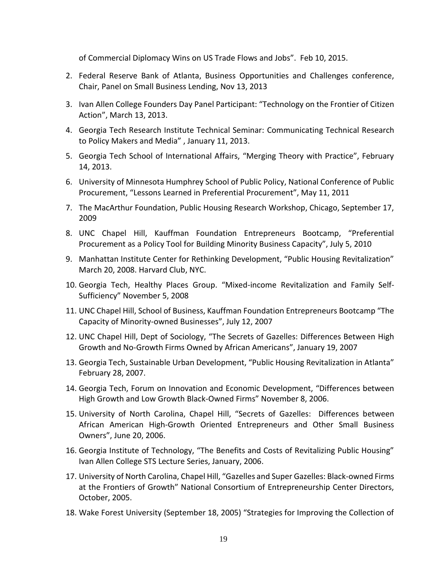of Commercial Diplomacy Wins on US Trade Flows and Jobs". Feb 10, 2015.

- 2. Federal Reserve Bank of Atlanta, Business Opportunities and Challenges conference, Chair, Panel on Small Business Lending, Nov 13, 2013
- 3. Ivan Allen College Founders Day Panel Participant: "Technology on the Frontier of Citizen Action", March 13, 2013.
- 4. Georgia Tech Research Institute Technical Seminar: Communicating Technical Research to Policy Makers and Media" , January 11, 2013.
- 5. Georgia Tech School of International Affairs, "Merging Theory with Practice", February 14, 2013.
- 6. University of Minnesota Humphrey School of Public Policy, National Conference of Public Procurement, "Lessons Learned in Preferential Procurement", May 11, 2011
- 7. The MacArthur Foundation, Public Housing Research Workshop, Chicago, September 17, 2009
- 8. UNC Chapel Hill, Kauffman Foundation Entrepreneurs Bootcamp, "Preferential Procurement as a Policy Tool for Building Minority Business Capacity", July 5, 2010
- 9. Manhattan Institute Center for Rethinking Development, "Public Housing Revitalization" March 20, 2008. Harvard Club, NYC.
- 10. Georgia Tech, Healthy Places Group. "Mixed-income Revitalization and Family Self-Sufficiency" November 5, 2008
- 11. UNC Chapel Hill, School of Business, Kauffman Foundation Entrepreneurs Bootcamp "The Capacity of Minority-owned Businesses", July 12, 2007
- 12. UNC Chapel Hill, Dept of Sociology, "The Secrets of Gazelles: Differences Between High Growth and No-Growth Firms Owned by African Americans", January 19, 2007
- 13. Georgia Tech, Sustainable Urban Development, "Public Housing Revitalization in Atlanta" February 28, 2007.
- 14. Georgia Tech, Forum on Innovation and Economic Development, "Differences between High Growth and Low Growth Black-Owned Firms" November 8, 2006.
- 15. University of North Carolina, Chapel Hill, "Secrets of Gazelles: Differences between African American High-Growth Oriented Entrepreneurs and Other Small Business Owners", June 20, 2006.
- 16. Georgia Institute of Technology, "The Benefits and Costs of Revitalizing Public Housing" Ivan Allen College STS Lecture Series, January, 2006.
- 17. University of North Carolina, Chapel Hill, "Gazelles and Super Gazelles: Black-owned Firms at the Frontiers of Growth" National Consortium of Entrepreneurship Center Directors, October, 2005.
- 18. Wake Forest University (September 18, 2005) "Strategies for Improving the Collection of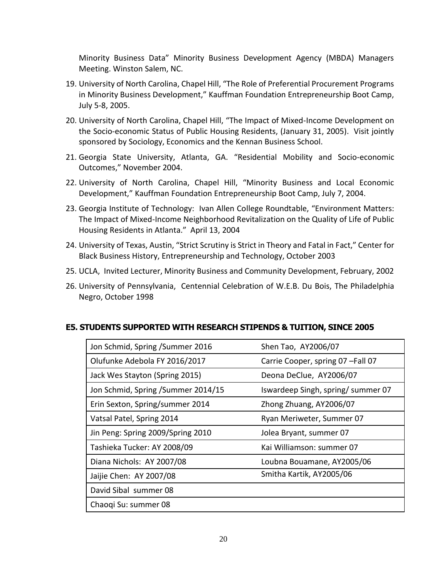Minority Business Data" Minority Business Development Agency (MBDA) Managers Meeting. Winston Salem, NC.

- 19. University of North Carolina, Chapel Hill, "The Role of Preferential Procurement Programs in Minority Business Development," Kauffman Foundation Entrepreneurship Boot Camp, July 5-8, 2005.
- 20. University of North Carolina, Chapel Hill, "The Impact of Mixed-Income Development on the Socio-economic Status of Public Housing Residents, (January 31, 2005). Visit jointly sponsored by Sociology, Economics and the Kennan Business School.
- 21. Georgia State University, Atlanta, GA. "Residential Mobility and Socio-economic Outcomes," November 2004.
- 22. University of North Carolina, Chapel Hill, "Minority Business and Local Economic Development," Kauffman Foundation Entrepreneurship Boot Camp, July 7, 2004.
- 23. Georgia Institute of Technology: Ivan Allen College Roundtable, "Environment Matters: The Impact of Mixed-Income Neighborhood Revitalization on the Quality of Life of Public Housing Residents in Atlanta." April 13, 2004
- 24. University of Texas, Austin, "Strict Scrutiny is Strict in Theory and Fatal in Fact," Center for Black Business History, Entrepreneurship and Technology, October 2003
- 25. UCLA, Invited Lecturer, Minority Business and Community Development, February, 2002
- 26. University of Pennsylvania, Centennial Celebration of W.E.B. Du Bois, The Philadelphia Negro, October 1998

| Shen Tao, AY2006/07               |  |
|-----------------------------------|--|
| Carrie Cooper, spring 07-Fall 07  |  |
| Deona DeClue, AY2006/07           |  |
| Iswardeep Singh, spring/summer 07 |  |
| Zhong Zhuang, AY2006/07           |  |
| Ryan Meriweter, Summer 07         |  |
| Jolea Bryant, summer 07           |  |
| Kai Williamson: summer 07         |  |
| Loubna Bouamane, AY2005/06        |  |
| Smitha Kartik, AY2005/06          |  |
|                                   |  |
|                                   |  |
|                                   |  |

# **E5. STUDENTS SUPPORTED WITH RESEARCH STIPENDS & TUITION, SINCE 2005**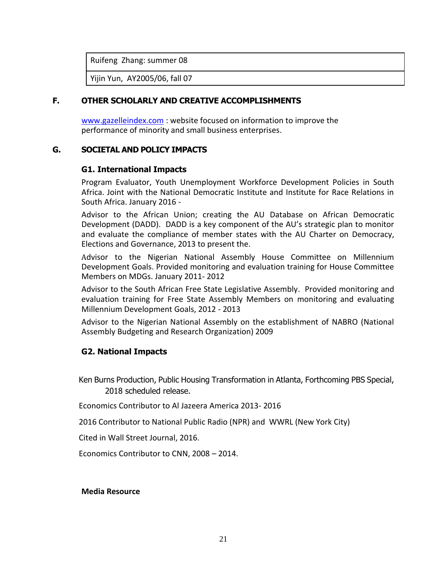Ruifeng Zhang: summer 08

Yijin Yun, AY2005/06, fall 07

## **F. OTHER SCHOLARLY AND CREATIVE ACCOMPLISHMENTS**

[www.gazelleindex.com](http://www.gazelleindex.com/) : website focused on information to improve the performance of minority and small business enterprises.

## **G. SOCIETAL AND POLICY IMPACTS**

## **G1. International Impacts**

Program Evaluator, Youth Unemployment Workforce Development Policies in South Africa. Joint with the National Democratic Institute and Institute for Race Relations in South Africa. January 2016 -

Advisor to the African Union; creating the AU Database on African Democratic Development (DADD). DADD is a key component of the AU's strategic plan to monitor and evaluate the compliance of member states with the AU Charter on Democracy, Elections and Governance, 2013 to present the.

Advisor to the Nigerian National Assembly House Committee on Millennium Development Goals. Provided monitoring and evaluation training for House Committee Members on MDGs. January 2011- 2012

Advisor to the South African Free State Legislative Assembly. Provided monitoring and evaluation training for Free State Assembly Members on monitoring and evaluating Millennium Development Goals, 2012 - 2013

Advisor to the Nigerian National Assembly on the establishment of NABRO (National Assembly Budgeting and Research Organization) 2009

## **G2. National Impacts**

Ken Burns Production, Public Housing Transformation in Atlanta, Forthcoming PBS Special, 2018 scheduled release.

[Economics Contributor to Al Jazeera America 2013-](http://s3.amazonaws.com/TVEyesMediaCenter/UserContent/143677/1378057.4975/CNN_12-07-2012_13.02.54.mp4) 2016

2016 Contributor to National Public Radio (NPR) and WWRL (New York City)

Cited in Wall Street Journal, 2016.

[Economics Contributor to CNN, 2008](http://s3.amazonaws.com/TVEyesMediaCenter/UserContent/143677/1378057.4975/CNN_12-07-2012_13.02.54.mp4) – 2014.

#### **Media Resource**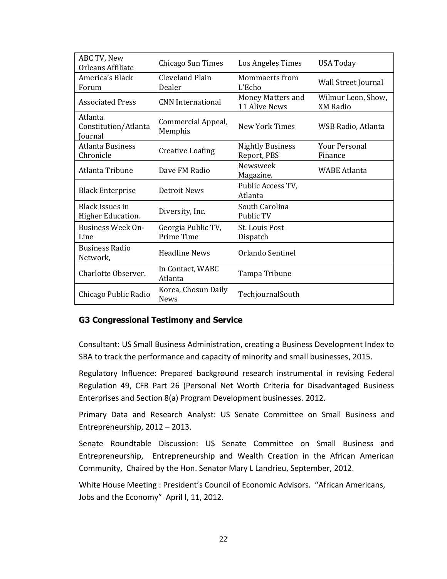| ABC TV, New<br>Orleans Affiliate            | Chicago Sun Times                  | Los Angeles Times                      | USA Today                             |
|---------------------------------------------|------------------------------------|----------------------------------------|---------------------------------------|
| America's Black<br>Forum                    | Cleveland Plain<br>Dealer          | Mommaerts from<br>L'Echo               | Wall Street Journal                   |
| <b>Associated Press</b>                     | <b>CNN</b> International           | Money Matters and<br>11 Alive News     | Wilmur Leon, Show,<br><b>XM Radio</b> |
| Atlanta<br>Constitution/Atlanta<br>Journal  | Commercial Appeal,<br>Memphis      | New York Times                         | WSB Radio, Atlanta                    |
| <b>Atlanta Business</b><br>Chronicle        | <b>Creative Loafing</b>            | <b>Nightly Business</b><br>Report, PBS | <b>Your Personal</b><br>Finance       |
| Atlanta Tribune                             | Dave FM Radio                      | Newsweek<br>Magazine.                  | <b>WABE Atlanta</b>                   |
| <b>Black Enterprise</b>                     | Detroit News                       | Public Access TV,<br>Atlanta           |                                       |
| <b>Black Issues in</b><br>Higher Education. | Diversity, Inc.                    | South Carolina<br>Public TV            |                                       |
| <b>Business Week On-</b><br>Line            | Georgia Public TV,<br>Prime Time   | <b>St. Louis Post</b><br>Dispatch      |                                       |
| <b>Business Radio</b><br>Network,           | <b>Headline News</b>               | Orlando Sentinel                       |                                       |
| Charlotte Observer.                         | In Contact, WABC<br>Atlanta        | Tampa Tribune                          |                                       |
| Chicago Public Radio                        | Korea, Chosun Daily<br><b>News</b> | TechjournalSouth                       |                                       |

## **G3 Congressional Testimony and Service**

Consultant: US Small Business Administration, creating a Business Development Index to SBA to track the performance and capacity of minority and small businesses, 2015.

Regulatory Influence: Prepared background research instrumental in revising Federal Regulation 49, CFR Part 26 (Personal Net Worth Criteria for Disadvantaged Business Enterprises and Section 8(a) Program Development businesses. 2012.

Primary Data and Research Analyst: US Senate Committee on Small Business and Entrepreneurship, 2012 – 2013.

Senate Roundtable Discussion: US Senate Committee on Small Business and Entrepreneurship, Entrepreneurship and Wealth Creation in the African American Community, Chaired by the Hon. Senator Mary L Landrieu, September, 2012.

White House Meeting : President's Council of Economic Advisors. "African Americans, Jobs and the Economy" April l, 11, 2012.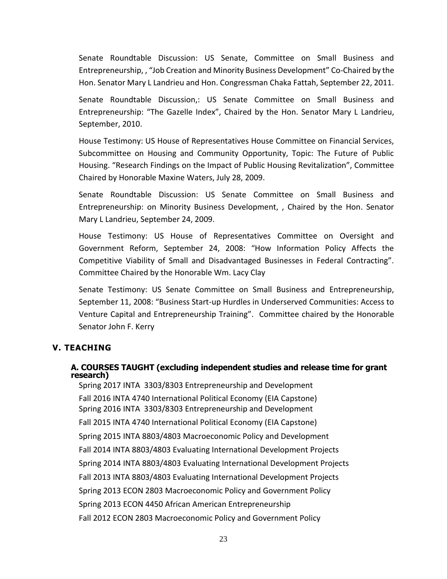Senate Roundtable Discussion: US Senate, Committee on Small Business and Entrepreneurship, , "Job Creation and Minority Business Development" Co-Chaired by the Hon. Senator Mary L Landrieu and Hon. Congressman Chaka Fattah, September 22, 2011.

Senate Roundtable Discussion,: US Senate Committee on Small Business and Entrepreneurship: "The Gazelle Index", Chaired by the Hon. Senator Mary L Landrieu, September, 2010.

House Testimony: US House of Representatives House Committee on Financial Services, Subcommittee on Housing and Community Opportunity, Topic: The Future of Public Housing. "Research Findings on the Impact of Public Housing Revitalization", Committee Chaired by Honorable Maxine Waters, July 28, 2009.

Senate Roundtable Discussion: US Senate Committee on Small Business and Entrepreneurship: on Minority Business Development, , Chaired by the Hon. Senator Mary L Landrieu, September 24, 2009.

House Testimony: US House of Representatives Committee on Oversight and Government Reform, September 24, 2008: "How Information Policy Affects the Competitive Viability of Small and Disadvantaged Businesses in Federal Contracting". Committee Chaired by the Honorable Wm. Lacy Clay

Senate Testimony: US Senate Committee on Small Business and Entrepreneurship, September 11, 2008: "Business Start-up Hurdles in Underserved Communities: Access to Venture Capital and Entrepreneurship Training". Committee chaired by the Honorable Senator John F. Kerry

# **V. TEACHING**

## **A. COURSES TAUGHT (excluding independent studies and release time for grant research)**

Spring 2017 INTA 3303/8303 Entrepreneurship and Development Fall 2016 INTA 4740 International Political Economy (EIA Capstone) Spring 2016 INTA 3303/8303 Entrepreneurship and Development Fall 2015 INTA 4740 International Political Economy (EIA Capstone) Spring 2015 INTA 8803/4803 Macroeconomic Policy and Development Fall 2014 INTA 8803/4803 Evaluating International Development Projects Spring 2014 INTA 8803/4803 Evaluating International Development Projects Fall 2013 INTA 8803/4803 Evaluating International Development Projects Spring 2013 ECON 2803 Macroeconomic Policy and Government Policy Spring 2013 ECON 4450 African American Entrepreneurship Fall 2012 ECON 2803 Macroeconomic Policy and Government Policy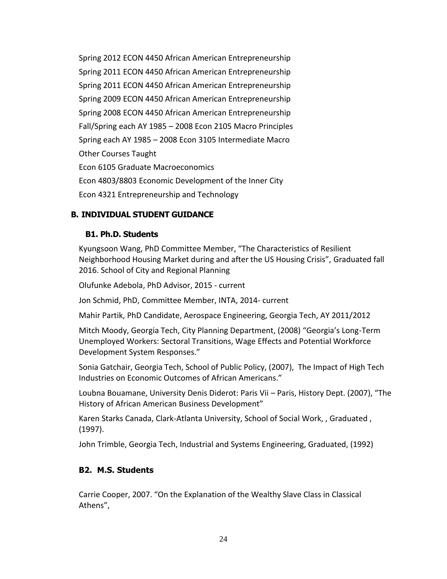Spring 2012 ECON 4450 African American Entrepreneurship Spring 2011 ECON 4450 African American Entrepreneurship Spring 2011 ECON 4450 African American Entrepreneurship Spring 2009 ECON 4450 African American Entrepreneurship Spring 2008 ECON 4450 African American Entrepreneurship Fall/Spring each AY 1985 – 2008 Econ 2105 Macro Principles Spring each AY 1985 – 2008 Econ 3105 Intermediate Macro Other Courses Taught Econ 6105 Graduate Macroeconomics Econ 4803/8803 Economic Development of the Inner City Econ 4321 Entrepreneurship and Technology

# **B. INDIVIDUAL STUDENT GUIDANCE**

## **B1. Ph.D. Students**

Kyungsoon Wang, PhD Committee Member, "The Characteristics of Resilient Neighborhood Housing Market during and after the US Housing Crisis", Graduated fall 2016. School of City and Regional Planning

Olufunke Adebola, PhD Advisor, 2015 - current

Jon Schmid, PhD, Committee Member, INTA, 2014- current

Mahir Partik, PhD Candidate, Aerospace Engineering, Georgia Tech, AY 2011/2012

Mitch Moody, Georgia Tech, City Planning Department, (2008) "Georgia's Long-Term Unemployed Workers: Sectoral Transitions, Wage Effects and Potential Workforce Development System Responses."

Sonia Gatchair, Georgia Tech, School of Public Policy, (2007), The Impact of High Tech Industries on Economic Outcomes of African Americans."

Loubna Bouamane, University Denis Diderot: Paris Vii – Paris, History Dept. (2007), "The History of African American Business Development"

Karen Starks Canada, Clark-Atlanta University, School of Social Work, , Graduated , (1997).

John Trimble, Georgia Tech, Industrial and Systems Engineering, Graduated, (1992)

# **B2. M.S. Students**

Carrie Cooper, 2007. "On the Explanation of the Wealthy Slave Class in Classical Athens",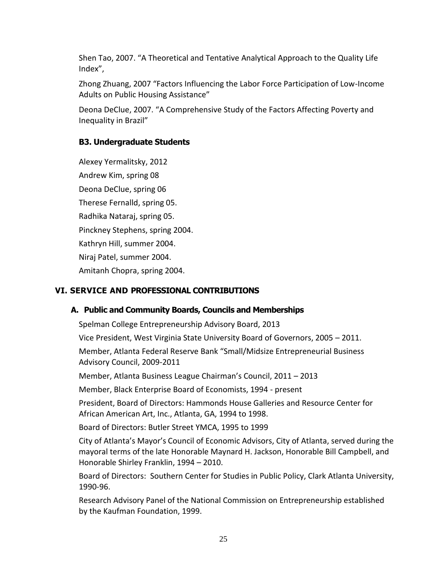Shen Tao, 2007. "A Theoretical and Tentative Analytical Approach to the Quality Life Index",

Zhong Zhuang, 2007 "Factors Influencing the Labor Force Participation of Low-Income Adults on Public Housing Assistance"

Deona DeClue, 2007. "A Comprehensive Study of the Factors Affecting Poverty and Inequality in Brazil"

# **B3. Undergraduate Students**

Alexey Yermalitsky, 2012 Andrew Kim, spring 08 Deona DeClue, spring 06 Therese Fernalld, spring 05. Radhika Nataraj, spring 05. Pinckney Stephens, spring 2004. Kathryn Hill, summer 2004. Niraj Patel, summer 2004. Amitanh Chopra, spring 2004.

# **VI. SERVICE AND PROFESSIONAL CONTRIBUTIONS**

# **A. Public and Community Boards, Councils and Memberships**

Spelman College Entrepreneurship Advisory Board, 2013

Vice President, West Virginia State University Board of Governors, 2005 – 2011.

Member, Atlanta Federal Reserve Bank "Small/Midsize Entrepreneurial Business Advisory Council, 2009-2011

Member, Atlanta Business League Chairman's Council, 2011 – 2013

Member, Black Enterprise Board of Economists, 1994 - present

President, Board of Directors: Hammonds House Galleries and Resource Center for African American Art, Inc., Atlanta, GA, 1994 to 1998.

Board of Directors: Butler Street YMCA, 1995 to 1999

City of Atlanta's Mayor's Council of Economic Advisors, City of Atlanta, served during the mayoral terms of the late Honorable Maynard H. Jackson, Honorable Bill Campbell, and Honorable Shirley Franklin, 1994 – 2010.

Board of Directors: Southern Center for Studies in Public Policy, Clark Atlanta University, 1990-96.

Research Advisory Panel of the National Commission on Entrepreneurship established by the Kaufman Foundation, 1999.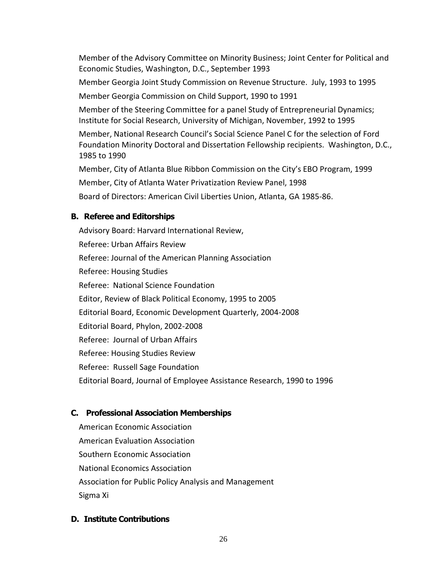Member of the Advisory Committee on Minority Business; Joint Center for Political and Economic Studies, Washington, D.C., September 1993

Member Georgia Joint Study Commission on Revenue Structure. July, 1993 to 1995

Member Georgia Commission on Child Support, 1990 to 1991

Member of the Steering Committee for a panel Study of Entrepreneurial Dynamics; Institute for Social Research, University of Michigan, November, 1992 to 1995

Member, National Research Council's Social Science Panel C for the selection of Ford Foundation Minority Doctoral and Dissertation Fellowship recipients. Washington, D.C., 1985 to 1990

Member, City of Atlanta Blue Ribbon Commission on the City's EBO Program, 1999

Member, City of Atlanta Water Privatization Review Panel, 1998

Board of Directors: American Civil Liberties Union, Atlanta, GA 1985-86.

# **B. Referee and Editorships**

Advisory Board: Harvard International Review, Referee: Urban Affairs Review Referee: Journal of the American Planning Association Referee: Housing Studies Referee: National Science Foundation Editor, Review of Black Political Economy, 1995 to 2005 Editorial Board, Economic Development Quarterly, 2004-2008 Editorial Board, Phylon, 2002-2008 Referee: Journal of Urban Affairs Referee: Housing Studies Review Referee: Russell Sage Foundation Editorial Board, Journal of Employee Assistance Research, 1990 to 1996

# **C. Professional Association Memberships**

American Economic Association American Evaluation Association Southern Economic Association National Economics Association Association for Public Policy Analysis and Management Sigma Xi

# **D. Institute Contributions**